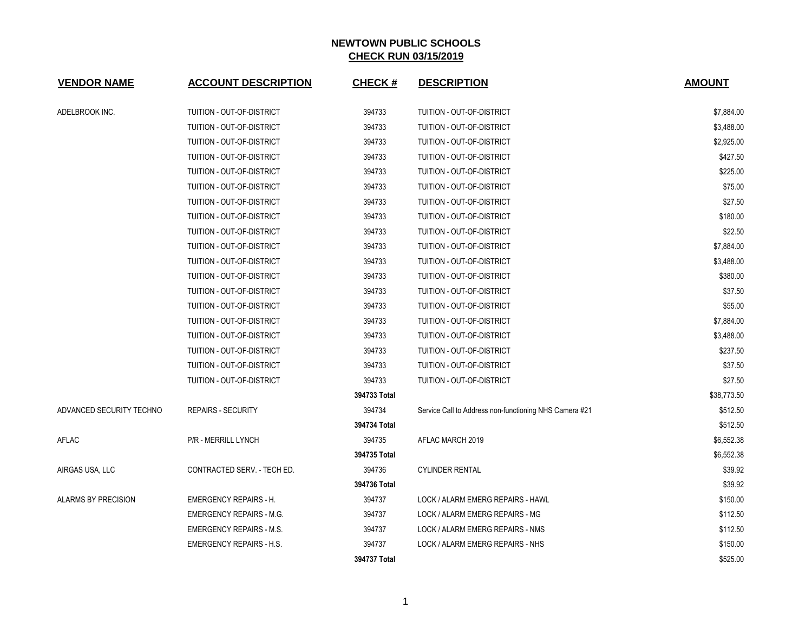| <b>VENDOR NAME</b>         | <b>ACCOUNT DESCRIPTION</b>       | <b>CHECK#</b> | <b>DESCRIPTION</b>                                     | <b>AMOUNT</b> |
|----------------------------|----------------------------------|---------------|--------------------------------------------------------|---------------|
| ADELBROOK INC.             | TUITION - OUT-OF-DISTRICT        | 394733        | TUITION - OUT-OF-DISTRICT                              | \$7,884.00    |
|                            | TUITION - OUT-OF-DISTRICT        | 394733        | TUITION - OUT-OF-DISTRICT                              | \$3,488.00    |
|                            | TUITION - OUT-OF-DISTRICT        | 394733        | TUITION - OUT-OF-DISTRICT                              | \$2,925.00    |
|                            | TUITION - OUT-OF-DISTRICT        | 394733        | TUITION - OUT-OF-DISTRICT                              | \$427.50      |
|                            | TUITION - OUT-OF-DISTRICT        | 394733        | TUITION - OUT-OF-DISTRICT                              | \$225.00      |
|                            | TUITION - OUT-OF-DISTRICT        | 394733        | TUITION - OUT-OF-DISTRICT                              | \$75.00       |
|                            | TUITION - OUT-OF-DISTRICT        | 394733        | TUITION - OUT-OF-DISTRICT                              | \$27.50       |
|                            | TUITION - OUT-OF-DISTRICT        | 394733        | TUITION - OUT-OF-DISTRICT                              | \$180.00      |
|                            | <b>TUITION - OUT-OF-DISTRICT</b> | 394733        | TUITION - OUT-OF-DISTRICT                              | \$22.50       |
|                            | TUITION - OUT-OF-DISTRICT        | 394733        | TUITION - OUT-OF-DISTRICT                              | \$7,884.00    |
|                            | TUITION - OUT-OF-DISTRICT        | 394733        | TUITION - OUT-OF-DISTRICT                              | \$3,488.00    |
|                            | TUITION - OUT-OF-DISTRICT        | 394733        | TUITION - OUT-OF-DISTRICT                              | \$380.00      |
|                            | TUITION - OUT-OF-DISTRICT        | 394733        | TUITION - OUT-OF-DISTRICT                              | \$37.50       |
|                            | TUITION - OUT-OF-DISTRICT        | 394733        | TUITION - OUT-OF-DISTRICT                              | \$55.00       |
|                            | TUITION - OUT-OF-DISTRICT        | 394733        | TUITION - OUT-OF-DISTRICT                              | \$7,884.00    |
|                            | TUITION - OUT-OF-DISTRICT        | 394733        | TUITION - OUT-OF-DISTRICT                              | \$3,488.00    |
|                            | TUITION - OUT-OF-DISTRICT        | 394733        | TUITION - OUT-OF-DISTRICT                              | \$237.50      |
|                            | <b>TUITION - OUT-OF-DISTRICT</b> | 394733        | <b>TUITION - OUT-OF-DISTRICT</b>                       | \$37.50       |
|                            | TUITION - OUT-OF-DISTRICT        | 394733        | TUITION - OUT-OF-DISTRICT                              | \$27.50       |
|                            |                                  | 394733 Total  |                                                        | \$38,773.50   |
| ADVANCED SECURITY TECHNO   | <b>REPAIRS - SECURITY</b>        | 394734        | Service Call to Address non-functioning NHS Camera #21 | \$512.50      |
|                            |                                  | 394734 Total  |                                                        | \$512.50      |
| AFLAC                      | P/R - MERRILL LYNCH              | 394735        | AFLAC MARCH 2019                                       | \$6,552.38    |
|                            |                                  | 394735 Total  |                                                        | \$6,552.38    |
| AIRGAS USA, LLC            | CONTRACTED SERV. - TECH ED.      | 394736        | <b>CYLINDER RENTAL</b>                                 | \$39.92       |
|                            |                                  | 394736 Total  |                                                        | \$39.92       |
| <b>ALARMS BY PRECISION</b> | <b>EMERGENCY REPAIRS - H.</b>    | 394737        | LOCK / ALARM EMERG REPAIRS - HAWL                      | \$150.00      |
|                            | <b>EMERGENCY REPAIRS - M.G.</b>  | 394737        | LOCK / ALARM EMERG REPAIRS - MG                        | \$112.50      |
|                            | <b>EMERGENCY REPAIRS - M.S.</b>  | 394737        | LOCK / ALARM EMERG REPAIRS - NMS                       | \$112.50      |
|                            | <b>EMERGENCY REPAIRS - H.S.</b>  | 394737        | LOCK / ALARM EMERG REPAIRS - NHS                       | \$150.00      |
|                            |                                  | 394737 Total  |                                                        | \$525.00      |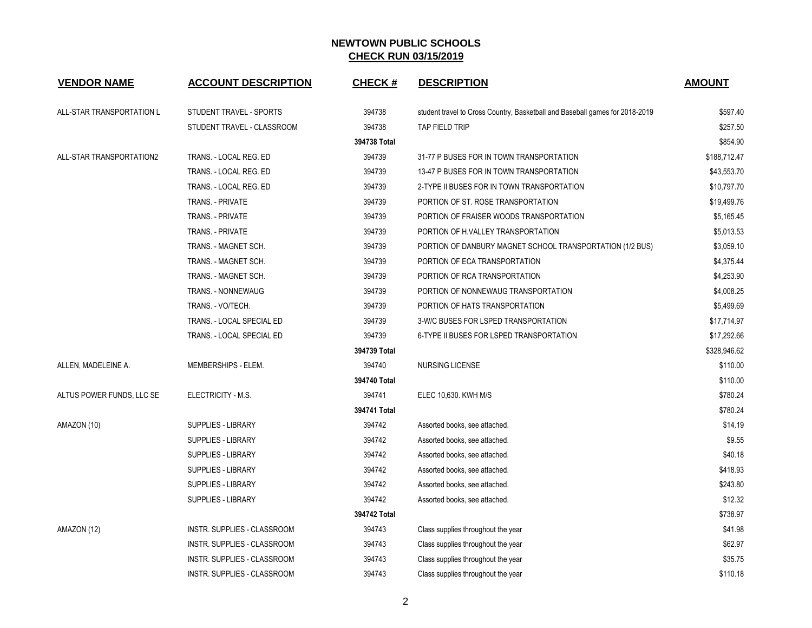| <b>VENDOR NAME</b>        | <b>ACCOUNT DESCRIPTION</b>  | <b>CHECK#</b> | <b>DESCRIPTION</b>                                                           | <b>AMOUNT</b> |
|---------------------------|-----------------------------|---------------|------------------------------------------------------------------------------|---------------|
| ALL-STAR TRANSPORTATION L | STUDENT TRAVEL - SPORTS     | 394738        | student travel to Cross Country, Basketball and Baseball games for 2018-2019 | \$597.40      |
|                           | STUDENT TRAVEL - CLASSROOM  | 394738        | TAP FIELD TRIP                                                               | \$257.50      |
|                           |                             | 394738 Total  |                                                                              | \$854.90      |
| ALL-STAR TRANSPORTATION2  | TRANS. - LOCAL REG. ED      | 394739        | 31-77 P BUSES FOR IN TOWN TRANSPORTATION                                     | \$188,712.47  |
|                           | TRANS. - LOCAL REG. ED      | 394739        | 13-47 P BUSES FOR IN TOWN TRANSPORTATION                                     | \$43,553.70   |
|                           | TRANS. - LOCAL REG. ED      | 394739        | 2-TYPE II BUSES FOR IN TOWN TRANSPORTATION                                   | \$10,797.70   |
|                           | <b>TRANS. - PRIVATE</b>     | 394739        | PORTION OF ST. ROSE TRANSPORTATION                                           | \$19,499.76   |
|                           | TRANS. - PRIVATE            | 394739        | PORTION OF FRAISER WOODS TRANSPORTATION                                      | \$5,165.45    |
|                           | <b>TRANS. - PRIVATE</b>     | 394739        | PORTION OF H.VALLEY TRANSPORTATION                                           | \$5,013.53    |
|                           | TRANS. - MAGNET SCH.        | 394739        | PORTION OF DANBURY MAGNET SCHOOL TRANSPORTATION (1/2 BUS)                    | \$3,059.10    |
|                           | TRANS. - MAGNET SCH.        | 394739        | PORTION OF ECA TRANSPORTATION                                                | \$4,375.44    |
|                           | TRANS. - MAGNET SCH.        | 394739        | PORTION OF RCA TRANSPORTATION                                                | \$4,253.90    |
|                           | TRANS. - NONNEWAUG          | 394739        | PORTION OF NONNEWAUG TRANSPORTATION                                          | \$4,008.25    |
|                           | TRANS. - VO/TECH.           | 394739        | PORTION OF HATS TRANSPORTATION                                               | \$5,499.69    |
|                           | TRANS. - LOCAL SPECIAL ED   | 394739        | 3-W/C BUSES FOR LSPED TRANSPORTATION                                         | \$17,714.97   |
|                           | TRANS. - LOCAL SPECIAL ED   | 394739        | 6-TYPE II BUSES FOR LSPED TRANSPORTATION                                     | \$17,292.66   |
|                           |                             | 394739 Total  |                                                                              | \$328,946.62  |
| ALLEN, MADELEINE A.       | MEMBERSHIPS - ELEM.         | 394740        | NURSING LICENSE                                                              | \$110.00      |
|                           |                             | 394740 Total  |                                                                              | \$110.00      |
| ALTUS POWER FUNDS, LLC SE | ELECTRICITY - M.S.          | 394741        | ELEC 10,630. KWH M/S                                                         | \$780.24      |
|                           |                             | 394741 Total  |                                                                              | \$780.24      |
| AMAZON (10)               | SUPPLIES - LIBRARY          | 394742        | Assorted books, see attached.                                                | \$14.19       |
|                           | SUPPLIES - LIBRARY          | 394742        | Assorted books, see attached.                                                | \$9.55        |
|                           | <b>SUPPLIES - LIBRARY</b>   | 394742        | Assorted books, see attached.                                                | \$40.18       |
|                           | SUPPLIES - LIBRARY          | 394742        | Assorted books, see attached.                                                | \$418.93      |
|                           | <b>SUPPLIES - LIBRARY</b>   | 394742        | Assorted books, see attached.                                                | \$243.80      |
|                           | SUPPLIES - LIBRARY          | 394742        | Assorted books, see attached.                                                | \$12.32       |
|                           |                             | 394742 Total  |                                                                              | \$738.97      |
| AMAZON (12)               | INSTR. SUPPLIES - CLASSROOM | 394743        | Class supplies throughout the year                                           | \$41.98       |
|                           | INSTR. SUPPLIES - CLASSROOM | 394743        | Class supplies throughout the year                                           | \$62.97       |
|                           | INSTR. SUPPLIES - CLASSROOM | 394743        | Class supplies throughout the year                                           | \$35.75       |
|                           | INSTR. SUPPLIES - CLASSROOM | 394743        | Class supplies throughout the year                                           | \$110.18      |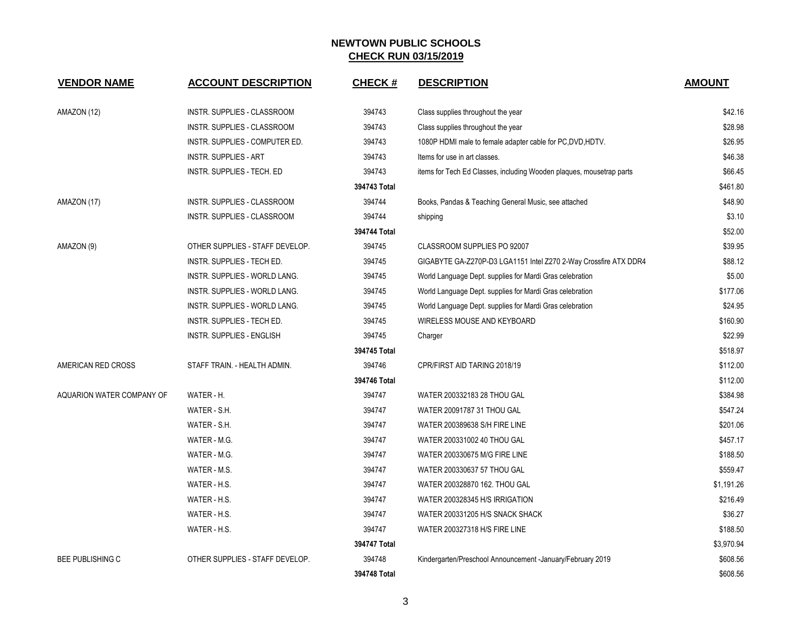| <b>VENDOR NAME</b>        | <b>ACCOUNT DESCRIPTION</b>      | <b>CHECK#</b> | <b>DESCRIPTION</b>                                                   | <b>AMOUNT</b> |
|---------------------------|---------------------------------|---------------|----------------------------------------------------------------------|---------------|
| AMAZON (12)               | INSTR. SUPPLIES - CLASSROOM     | 394743        | Class supplies throughout the year                                   | \$42.16       |
|                           | INSTR. SUPPLIES - CLASSROOM     | 394743        | Class supplies throughout the year                                   | \$28.98       |
|                           | INSTR. SUPPLIES - COMPUTER ED.  | 394743        | 1080P HDMI male to female adapter cable for PC, DVD, HDTV.           | \$26.95       |
|                           | <b>INSTR. SUPPLIES - ART</b>    | 394743        | Items for use in art classes.                                        | \$46.38       |
|                           | INSTR. SUPPLIES - TECH. ED      | 394743        | items for Tech Ed Classes, including Wooden plaques, mousetrap parts | \$66.45       |
|                           |                                 | 394743 Total  |                                                                      | \$461.80      |
| AMAZON (17)               | INSTR. SUPPLIES - CLASSROOM     | 394744        | Books, Pandas & Teaching General Music, see attached                 | \$48.90       |
|                           | INSTR. SUPPLIES - CLASSROOM     | 394744        | shipping                                                             | \$3.10        |
|                           |                                 | 394744 Total  |                                                                      | \$52.00       |
| AMAZON (9)                | OTHER SUPPLIES - STAFF DEVELOP. | 394745        | CLASSROOM SUPPLIES PO 92007                                          | \$39.95       |
|                           | INSTR. SUPPLIES - TECH ED.      | 394745        | GIGABYTE GA-Z270P-D3 LGA1151 Intel Z270 2-Way Crossfire ATX DDR4     | \$88.12       |
|                           | INSTR. SUPPLIES - WORLD LANG.   | 394745        | World Language Dept. supplies for Mardi Gras celebration             | \$5.00        |
|                           | INSTR. SUPPLIES - WORLD LANG.   | 394745        | World Language Dept. supplies for Mardi Gras celebration             | \$177.06      |
|                           | INSTR. SUPPLIES - WORLD LANG.   | 394745        | World Language Dept. supplies for Mardi Gras celebration             | \$24.95       |
|                           | INSTR. SUPPLIES - TECH ED.      | 394745        | WIRELESS MOUSE AND KEYBOARD                                          | \$160.90      |
|                           | INSTR. SUPPLIES - ENGLISH       | 394745        | Charger                                                              | \$22.99       |
|                           |                                 | 394745 Total  |                                                                      | \$518.97      |
| AMERICAN RED CROSS        | STAFF TRAIN. - HEALTH ADMIN.    | 394746        | CPR/FIRST AID TARING 2018/19                                         | \$112.00      |
|                           |                                 | 394746 Total  |                                                                      | \$112.00      |
| AQUARION WATER COMPANY OF | WATER - H.                      | 394747        | WATER 200332183 28 THOU GAL                                          | \$384.98      |
|                           | WATER - S.H.                    | 394747        | WATER 20091787 31 THOU GAL                                           | \$547.24      |
|                           | WATER - S.H.                    | 394747        | WATER 200389638 S/H FIRE LINE                                        | \$201.06      |
|                           | WATER - M.G.                    | 394747        | WATER 200331002 40 THOU GAL                                          | \$457.17      |
|                           | WATER - M.G.                    | 394747        | WATER 200330675 M/G FIRE LINE                                        | \$188.50      |
|                           | WATER - M.S.                    | 394747        | WATER 200330637 57 THOU GAL                                          | \$559.47      |
|                           | WATER - H.S.                    | 394747        | WATER 200328870 162. THOU GAL                                        | \$1,191.26    |
|                           | WATER - H.S.                    | 394747        | WATER 200328345 H/S IRRIGATION                                       | \$216.49      |
|                           | WATER - H.S.                    | 394747        | WATER 200331205 H/S SNACK SHACK                                      | \$36.27       |
|                           | WATER - H.S.                    | 394747        | WATER 200327318 H/S FIRE LINE                                        | \$188.50      |
|                           |                                 | 394747 Total  |                                                                      | \$3,970.94    |
| <b>BEE PUBLISHING C</b>   | OTHER SUPPLIES - STAFF DEVELOP. | 394748        | Kindergarten/Preschool Announcement -January/February 2019           | \$608.56      |
|                           |                                 | 394748 Total  |                                                                      | \$608.56      |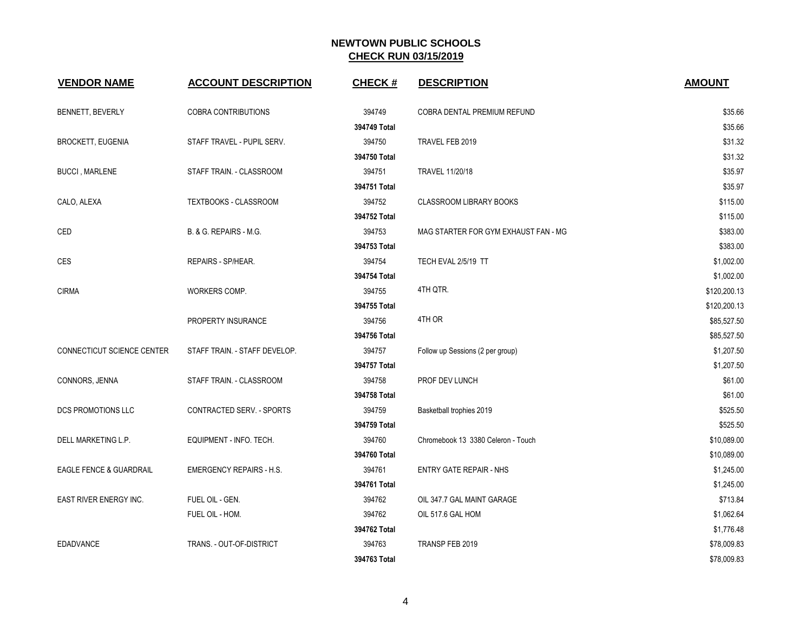| <b>VENDOR NAME</b>         | <b>ACCOUNT DESCRIPTION</b>      | <b>CHECK#</b> | <b>DESCRIPTION</b>                   | <b>AMOUNT</b> |
|----------------------------|---------------------------------|---------------|--------------------------------------|---------------|
| BENNETT, BEVERLY           | <b>COBRA CONTRIBUTIONS</b>      | 394749        | COBRA DENTAL PREMIUM REFUND          | \$35.66       |
|                            |                                 | 394749 Total  |                                      | \$35.66       |
| <b>BROCKETT, EUGENIA</b>   | STAFF TRAVEL - PUPIL SERV.      | 394750        | TRAVEL FEB 2019                      | \$31.32       |
|                            |                                 | 394750 Total  |                                      | \$31.32       |
| <b>BUCCI, MARLENE</b>      | STAFF TRAIN. - CLASSROOM        | 394751        | <b>TRAVEL 11/20/18</b>               | \$35.97       |
|                            |                                 | 394751 Total  |                                      | \$35.97       |
| CALO, ALEXA                | TEXTBOOKS - CLASSROOM           | 394752        | <b>CLASSROOM LIBRARY BOOKS</b>       | \$115.00      |
|                            |                                 | 394752 Total  |                                      | \$115.00      |
| CED                        | B. & G. REPAIRS - M.G.          | 394753        | MAG STARTER FOR GYM EXHAUST FAN - MG | \$383.00      |
|                            |                                 | 394753 Total  |                                      | \$383.00      |
| <b>CES</b>                 | REPAIRS - SP/HEAR.              | 394754        | TECH EVAL 2/5/19 TT                  | \$1,002.00    |
|                            |                                 | 394754 Total  |                                      | \$1,002.00    |
| <b>CIRMA</b>               | WORKERS COMP.                   | 394755        | 4TH QTR.                             | \$120,200.13  |
|                            |                                 | 394755 Total  |                                      | \$120,200.13  |
|                            | PROPERTY INSURANCE              | 394756        | 4TH OR                               | \$85,527.50   |
|                            |                                 | 394756 Total  |                                      | \$85,527.50   |
| CONNECTICUT SCIENCE CENTER | STAFF TRAIN. - STAFF DEVELOP.   | 394757        | Follow up Sessions (2 per group)     | \$1,207.50    |
|                            |                                 | 394757 Total  |                                      | \$1,207.50    |
| CONNORS, JENNA             | STAFF TRAIN. - CLASSROOM        | 394758        | PROF DEV LUNCH                       | \$61.00       |
|                            |                                 | 394758 Total  |                                      | \$61.00       |
| DCS PROMOTIONS LLC         | CONTRACTED SERV. - SPORTS       | 394759        | Basketball trophies 2019             | \$525.50      |
|                            |                                 | 394759 Total  |                                      | \$525.50      |
| DELL MARKETING L.P.        | EQUIPMENT - INFO. TECH.         | 394760        | Chromebook 13 3380 Celeron - Touch   | \$10,089.00   |
|                            |                                 | 394760 Total  |                                      | \$10,089.00   |
| EAGLE FENCE & GUARDRAIL    | <b>EMERGENCY REPAIRS - H.S.</b> | 394761        | ENTRY GATE REPAIR - NHS              | \$1,245.00    |
|                            |                                 | 394761 Total  |                                      | \$1,245.00    |
| EAST RIVER ENERGY INC.     | FUEL OIL - GEN.                 | 394762        | OIL 347.7 GAL MAINT GARAGE           | \$713.84      |
|                            | FUEL OIL - HOM.                 | 394762        | OIL 517.6 GAL HOM                    | \$1,062.64    |
|                            |                                 | 394762 Total  |                                      | \$1,776.48    |
| <b>EDADVANCE</b>           | TRANS. - OUT-OF-DISTRICT        | 394763        | TRANSP FEB 2019                      | \$78,009.83   |
|                            |                                 | 394763 Total  |                                      | \$78,009.83   |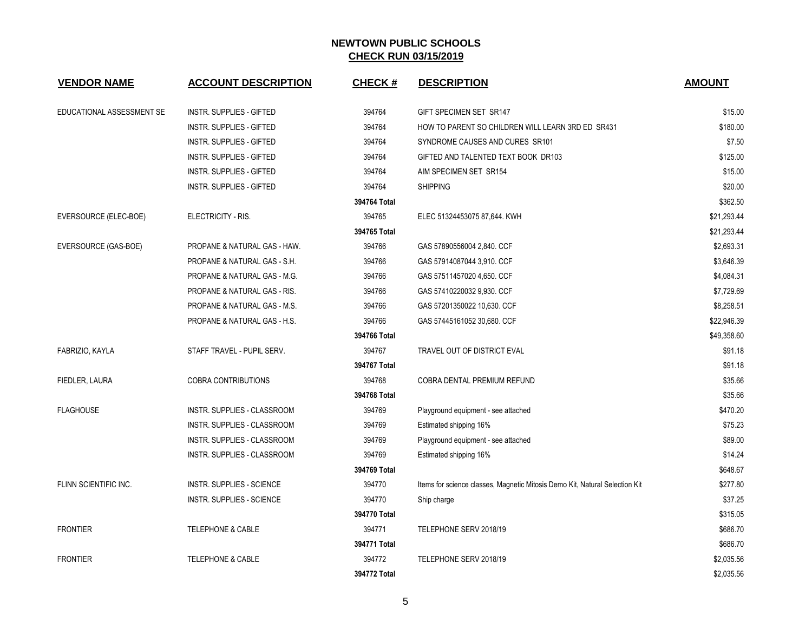| <b>VENDOR NAME</b>        | <b>ACCOUNT DESCRIPTION</b>      | <b>CHECK#</b> | <b>DESCRIPTION</b>                                                          | <b>AMOUNT</b> |
|---------------------------|---------------------------------|---------------|-----------------------------------------------------------------------------|---------------|
| EDUCATIONAL ASSESSMENT SE | <b>INSTR. SUPPLIES - GIFTED</b> | 394764        | GIFT SPECIMEN SET SR147                                                     | \$15.00       |
|                           | <b>INSTR. SUPPLIES - GIFTED</b> | 394764        | HOW TO PARENT SO CHILDREN WILL LEARN 3RD ED SR431                           | \$180.00      |
|                           | INSTR. SUPPLIES - GIFTED        | 394764        | SYNDROME CAUSES AND CURES SR101                                             | \$7.50        |
|                           | <b>INSTR. SUPPLIES - GIFTED</b> | 394764        | GIFTED AND TALENTED TEXT BOOK DR103                                         | \$125.00      |
|                           | INSTR. SUPPLIES - GIFTED        | 394764        | AIM SPECIMEN SET SR154                                                      | \$15.00       |
|                           | <b>INSTR. SUPPLIES - GIFTED</b> | 394764        | <b>SHIPPING</b>                                                             | \$20.00       |
|                           |                                 | 394764 Total  |                                                                             | \$362.50      |
| EVERSOURCE (ELEC-BOE)     | ELECTRICITY - RIS.              | 394765        | ELEC 51324453075 87,644. KWH                                                | \$21,293.44   |
|                           |                                 | 394765 Total  |                                                                             | \$21,293.44   |
| EVERSOURCE (GAS-BOE)      | PROPANE & NATURAL GAS - HAW.    | 394766        | GAS 57890556004 2,840. CCF                                                  | \$2,693.31    |
|                           | PROPANE & NATURAL GAS - S.H.    | 394766        | GAS 57914087044 3,910. CCF                                                  | \$3,646.39    |
|                           | PROPANE & NATURAL GAS - M.G.    | 394766        | GAS 57511457020 4,650. CCF                                                  | \$4,084.31    |
|                           | PROPANE & NATURAL GAS - RIS.    | 394766        | GAS 57410220032 9,930. CCF                                                  | \$7,729.69    |
|                           | PROPANE & NATURAL GAS - M.S.    | 394766        | GAS 57201350022 10,630. CCF                                                 | \$8,258.51    |
|                           | PROPANE & NATURAL GAS - H.S.    | 394766        | GAS 57445161052 30,680. CCF                                                 | \$22,946.39   |
|                           |                                 | 394766 Total  |                                                                             | \$49,358.60   |
| FABRIZIO, KAYLA           | STAFF TRAVEL - PUPIL SERV.      | 394767        | TRAVEL OUT OF DISTRICT EVAL                                                 | \$91.18       |
|                           |                                 | 394767 Total  |                                                                             | \$91.18       |
| FIEDLER, LAURA            | <b>COBRA CONTRIBUTIONS</b>      | 394768        | COBRA DENTAL PREMIUM REFUND                                                 | \$35.66       |
|                           |                                 | 394768 Total  |                                                                             | \$35.66       |
| <b>FLAGHOUSE</b>          | INSTR. SUPPLIES - CLASSROOM     | 394769        | Playground equipment - see attached                                         | \$470.20      |
|                           | INSTR. SUPPLIES - CLASSROOM     | 394769        | Estimated shipping 16%                                                      | \$75.23       |
|                           | INSTR. SUPPLIES - CLASSROOM     | 394769        | Playground equipment - see attached                                         | \$89.00       |
|                           | INSTR. SUPPLIES - CLASSROOM     | 394769        | Estimated shipping 16%                                                      | \$14.24       |
|                           |                                 | 394769 Total  |                                                                             | \$648.67      |
| FLINN SCIENTIFIC INC.     | INSTR. SUPPLIES - SCIENCE       | 394770        | Items for science classes, Magnetic Mitosis Demo Kit, Natural Selection Kit | \$277.80      |
|                           | INSTR. SUPPLIES - SCIENCE       | 394770        | Ship charge                                                                 | \$37.25       |
|                           |                                 | 394770 Total  |                                                                             | \$315.05      |
| <b>FRONTIER</b>           | <b>TELEPHONE &amp; CABLE</b>    | 394771        | TELEPHONE SERV 2018/19                                                      | \$686.70      |
|                           |                                 | 394771 Total  |                                                                             | \$686.70      |
| <b>FRONTIER</b>           | <b>TELEPHONE &amp; CABLE</b>    | 394772        | TELEPHONE SERV 2018/19                                                      | \$2,035.56    |
|                           |                                 | 394772 Total  |                                                                             | \$2,035.56    |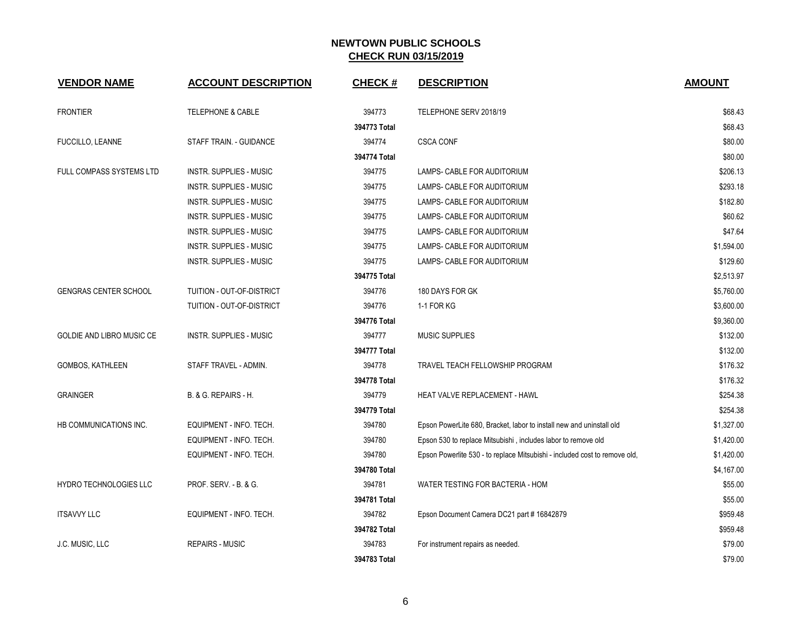| <b>VENDOR NAME</b>               | <b>ACCOUNT DESCRIPTION</b>       | <b>CHECK#</b> | <b>DESCRIPTION</b>                                                         | <b>AMOUNT</b> |
|----------------------------------|----------------------------------|---------------|----------------------------------------------------------------------------|---------------|
| <b>FRONTIER</b>                  | <b>TELEPHONE &amp; CABLE</b>     | 394773        | TELEPHONE SERV 2018/19                                                     | \$68.43       |
|                                  |                                  | 394773 Total  |                                                                            | \$68.43       |
| <b>FUCCILLO, LEANNE</b>          | STAFF TRAIN. - GUIDANCE          | 394774        | <b>CSCA CONF</b>                                                           | \$80.00       |
|                                  |                                  | 394774 Total  |                                                                            | \$80.00       |
| FULL COMPASS SYSTEMS LTD         | <b>INSTR. SUPPLIES - MUSIC</b>   | 394775        | LAMPS- CABLE FOR AUDITORIUM                                                | \$206.13      |
|                                  | <b>INSTR. SUPPLIES - MUSIC</b>   | 394775        | LAMPS- CABLE FOR AUDITORIUM                                                | \$293.18      |
|                                  | <b>INSTR. SUPPLIES - MUSIC</b>   | 394775        | LAMPS- CABLE FOR AUDITORIUM                                                | \$182.80      |
|                                  | <b>INSTR. SUPPLIES - MUSIC</b>   | 394775        | LAMPS- CABLE FOR AUDITORIUM                                                | \$60.62       |
|                                  | <b>INSTR. SUPPLIES - MUSIC</b>   | 394775        | LAMPS- CABLE FOR AUDITORIUM                                                | \$47.64       |
|                                  | <b>INSTR. SUPPLIES - MUSIC</b>   | 394775        | LAMPS- CABLE FOR AUDITORIUM                                                | \$1,594.00    |
|                                  | INSTR. SUPPLIES - MUSIC          | 394775        | LAMPS- CABLE FOR AUDITORIUM                                                | \$129.60      |
|                                  |                                  | 394775 Total  |                                                                            | \$2,513.97    |
| <b>GENGRAS CENTER SCHOOL</b>     | TUITION - OUT-OF-DISTRICT        | 394776        | 180 DAYS FOR GK                                                            | \$5,760.00    |
|                                  | TUITION - OUT-OF-DISTRICT        | 394776        | 1-1 FOR KG                                                                 | \$3,600.00    |
|                                  |                                  | 394776 Total  |                                                                            | \$9,360.00    |
| <b>GOLDIE AND LIBRO MUSIC CE</b> | <b>INSTR. SUPPLIES - MUSIC</b>   | 394777        | <b>MUSIC SUPPLIES</b>                                                      | \$132.00      |
|                                  |                                  | 394777 Total  |                                                                            | \$132.00      |
| GOMBOS, KATHLEEN                 | STAFF TRAVEL - ADMIN.            | 394778        | TRAVEL TEACH FELLOWSHIP PROGRAM                                            | \$176.32      |
|                                  |                                  | 394778 Total  |                                                                            | \$176.32      |
| <b>GRAINGER</b>                  | B. & G. REPAIRS - H.             | 394779        | HEAT VALVE REPLACEMENT - HAWL                                              | \$254.38      |
|                                  |                                  | 394779 Total  |                                                                            | \$254.38      |
| HB COMMUNICATIONS INC.           | EQUIPMENT - INFO. TECH.          | 394780        | Epson PowerLite 680, Bracket, labor to install new and uninstall old       | \$1,327.00    |
|                                  | EQUIPMENT - INFO. TECH.          | 394780        | Epson 530 to replace Mitsubishi, includes labor to remove old              | \$1,420.00    |
|                                  | EQUIPMENT - INFO. TECH.          | 394780        | Epson Powerlite 530 - to replace Mitsubishi - included cost to remove old, | \$1,420.00    |
|                                  |                                  | 394780 Total  |                                                                            | \$4,167.00    |
| <b>HYDRO TECHNOLOGIES LLC</b>    | <b>PROF. SERV. - B. &amp; G.</b> | 394781        | WATER TESTING FOR BACTERIA - HOM                                           | \$55.00       |
|                                  |                                  | 394781 Total  |                                                                            | \$55.00       |
| <b>ITSAVVY LLC</b>               | EQUIPMENT - INFO. TECH.          | 394782        | Epson Document Camera DC21 part # 16842879                                 | \$959.48      |
|                                  |                                  | 394782 Total  |                                                                            | \$959.48      |
| J.C. MUSIC, LLC                  | <b>REPAIRS - MUSIC</b>           | 394783        | For instrument repairs as needed.                                          | \$79.00       |
|                                  |                                  | 394783 Total  |                                                                            | \$79.00       |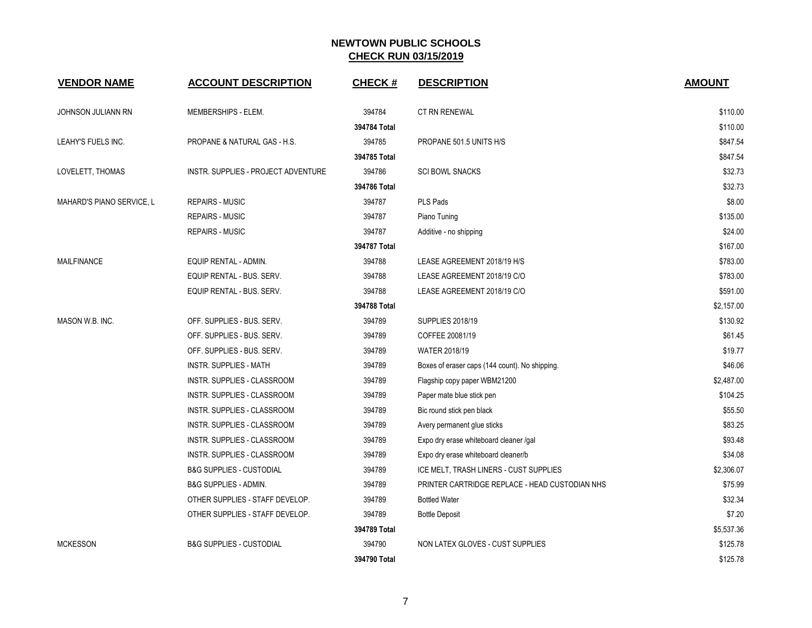| <b>VENDOR NAME</b>        | <b>ACCOUNT DESCRIPTION</b>          | <b>CHECK#</b> | <b>DESCRIPTION</b>                             | <b>AMOUNT</b> |
|---------------------------|-------------------------------------|---------------|------------------------------------------------|---------------|
| JOHNSON JULIANN RN        | MEMBERSHIPS - ELEM.                 | 394784        | <b>CT RN RENEWAL</b>                           | \$110.00      |
|                           |                                     | 394784 Total  |                                                | \$110.00      |
| LEAHY'S FUELS INC.        | PROPANE & NATURAL GAS - H.S.        | 394785        | PROPANE 501.5 UNITS H/S                        | \$847.54      |
|                           |                                     | 394785 Total  |                                                | \$847.54      |
| LOVELETT, THOMAS          | INSTR. SUPPLIES - PROJECT ADVENTURE | 394786        | <b>SCI BOWL SNACKS</b>                         | \$32.73       |
|                           |                                     | 394786 Total  |                                                | \$32.73       |
| MAHARD'S PIANO SERVICE, L | <b>REPAIRS - MUSIC</b>              | 394787        | PLS Pads                                       | \$8.00        |
|                           | <b>REPAIRS - MUSIC</b>              | 394787        | Piano Tuning                                   | \$135.00      |
|                           | <b>REPAIRS - MUSIC</b>              | 394787        | Additive - no shipping                         | \$24.00       |
|                           |                                     | 394787 Total  |                                                | \$167.00      |
| <b>MAILFINANCE</b>        | EQUIP RENTAL - ADMIN.               | 394788        | LEASE AGREEMENT 2018/19 H/S                    | \$783.00      |
|                           | EQUIP RENTAL - BUS. SERV.           | 394788        | LEASE AGREEMENT 2018/19 C/O                    | \$783.00      |
|                           | EQUIP RENTAL - BUS. SERV.           | 394788        | LEASE AGREEMENT 2018/19 C/O                    | \$591.00      |
|                           |                                     | 394788 Total  |                                                | \$2,157.00    |
| MASON W.B. INC.           | OFF. SUPPLIES - BUS. SERV.          | 394789        | <b>SUPPLIES 2018/19</b>                        | \$130.92      |
|                           | OFF. SUPPLIES - BUS. SERV.          | 394789        | COFFEE 20081/19                                | \$61.45       |
|                           | OFF. SUPPLIES - BUS. SERV.          | 394789        | WATER 2018/19                                  | \$19.77       |
|                           | <b>INSTR. SUPPLIES - MATH</b>       | 394789        | Boxes of eraser caps (144 count). No shipping. | \$46.06       |
|                           | INSTR. SUPPLIES - CLASSROOM         | 394789        | Flagship copy paper WBM21200                   | \$2,487.00    |
|                           | INSTR. SUPPLIES - CLASSROOM         | 394789        | Paper mate blue stick pen                      | \$104.25      |
|                           | INSTR. SUPPLIES - CLASSROOM         | 394789        | Bic round stick pen black                      | \$55.50       |
|                           | INSTR. SUPPLIES - CLASSROOM         | 394789        | Avery permanent glue sticks                    | \$83.25       |
|                           | INSTR. SUPPLIES - CLASSROOM         | 394789        | Expo dry erase whiteboard cleaner /gal         | \$93.48       |
|                           | INSTR. SUPPLIES - CLASSROOM         | 394789        | Expo dry erase whiteboard cleaner/b            | \$34.08       |
|                           | <b>B&amp;G SUPPLIES - CUSTODIAL</b> | 394789        | ICE MELT, TRASH LINERS - CUST SUPPLIES         | \$2,306.07    |
|                           | <b>B&amp;G SUPPLIES - ADMIN.</b>    | 394789        | PRINTER CARTRIDGE REPLACE - HEAD CUSTODIAN NHS | \$75.99       |
|                           | OTHER SUPPLIES - STAFF DEVELOP.     | 394789        | <b>Bottled Water</b>                           | \$32.34       |
|                           | OTHER SUPPLIES - STAFF DEVELOP.     | 394789        | <b>Bottle Deposit</b>                          | \$7.20        |
|                           |                                     | 394789 Total  |                                                | \$5,537.36    |
| <b>MCKESSON</b>           | <b>B&amp;G SUPPLIES - CUSTODIAL</b> | 394790        | NON LATEX GLOVES - CUST SUPPLIES               | \$125.78      |
|                           |                                     | 394790 Total  |                                                | \$125.78      |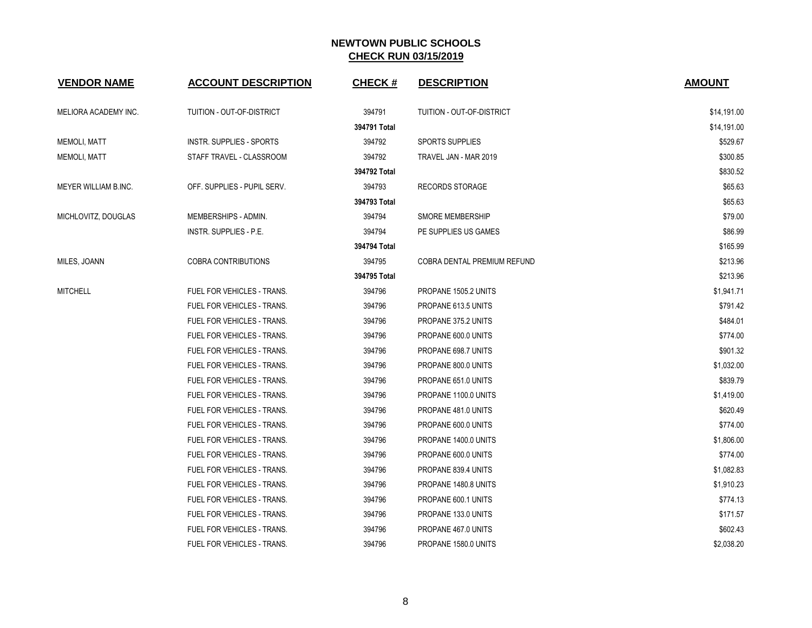| <b>VENDOR NAME</b>   | <b>ACCOUNT DESCRIPTION</b>        | <b>CHECK#</b> | <b>DESCRIPTION</b>          | <b>AMOUNT</b> |
|----------------------|-----------------------------------|---------------|-----------------------------|---------------|
| MELIORA ACADEMY INC. | TUITION - OUT-OF-DISTRICT         | 394791        | TUITION - OUT-OF-DISTRICT   | \$14,191.00   |
|                      |                                   | 394791 Total  |                             | \$14,191.00   |
| <b>MEMOLI, MATT</b>  | INSTR. SUPPLIES - SPORTS          | 394792        | <b>SPORTS SUPPLIES</b>      | \$529.67      |
| <b>MEMOLI, MATT</b>  | STAFF TRAVEL - CLASSROOM          | 394792        | TRAVEL JAN - MAR 2019       | \$300.85      |
|                      |                                   | 394792 Total  |                             | \$830.52      |
| MEYER WILLIAM B.INC. | OFF. SUPPLIES - PUPIL SERV.       | 394793        | <b>RECORDS STORAGE</b>      | \$65.63       |
|                      |                                   | 394793 Total  |                             | \$65.63       |
| MICHLOVITZ, DOUGLAS  | MEMBERSHIPS - ADMIN.              | 394794        | <b>SMORE MEMBERSHIP</b>     | \$79.00       |
|                      | INSTR. SUPPLIES - P.E.            | 394794        | PE SUPPLIES US GAMES        | \$86.99       |
|                      |                                   | 394794 Total  |                             | \$165.99      |
| MILES, JOANN         | <b>COBRA CONTRIBUTIONS</b>        | 394795        | COBRA DENTAL PREMIUM REFUND | \$213.96      |
|                      |                                   | 394795 Total  |                             | \$213.96      |
| <b>MITCHELL</b>      | FUEL FOR VEHICLES - TRANS.        | 394796        | PROPANE 1505.2 UNITS        | \$1,941.71    |
|                      | FUEL FOR VEHICLES - TRANS.        | 394796        | PROPANE 613.5 UNITS         | \$791.42      |
|                      | FUEL FOR VEHICLES - TRANS.        | 394796        | PROPANE 375.2 UNITS         | \$484.01      |
|                      | FUEL FOR VEHICLES - TRANS.        | 394796        | PROPANE 600.0 UNITS         | \$774.00      |
|                      | FUEL FOR VEHICLES - TRANS.        | 394796        | PROPANE 698.7 UNITS         | \$901.32      |
|                      | FUEL FOR VEHICLES - TRANS.        | 394796        | PROPANE 800.0 UNITS         | \$1,032.00    |
|                      | FUEL FOR VEHICLES - TRANS.        | 394796        | PROPANE 651.0 UNITS         | \$839.79      |
|                      | FUEL FOR VEHICLES - TRANS.        | 394796        | PROPANE 1100.0 UNITS        | \$1,419.00    |
|                      | FUEL FOR VEHICLES - TRANS.        | 394796        | PROPANE 481.0 UNITS         | \$620.49      |
|                      | FUEL FOR VEHICLES - TRANS.        | 394796        | PROPANE 600.0 UNITS         | \$774.00      |
|                      | <b>FUEL FOR VEHICLES - TRANS.</b> | 394796        | PROPANE 1400.0 UNITS        | \$1,806.00    |
|                      | FUEL FOR VEHICLES - TRANS.        | 394796        | PROPANE 600.0 UNITS         | \$774.00      |
|                      | FUEL FOR VEHICLES - TRANS.        | 394796        | PROPANE 839.4 UNITS         | \$1,082.83    |
|                      | FUEL FOR VEHICLES - TRANS.        | 394796        | PROPANE 1480.8 UNITS        | \$1,910.23    |
|                      | FUEL FOR VEHICLES - TRANS.        | 394796        | PROPANE 600.1 UNITS         | \$774.13      |
|                      | FUEL FOR VEHICLES - TRANS.        | 394796        | PROPANE 133.0 UNITS         | \$171.57      |
|                      | FUEL FOR VEHICLES - TRANS.        | 394796        | PROPANE 467.0 UNITS         | \$602.43      |
|                      | FUEL FOR VEHICLES - TRANS.        | 394796        | PROPANE 1580.0 UNITS        | \$2,038.20    |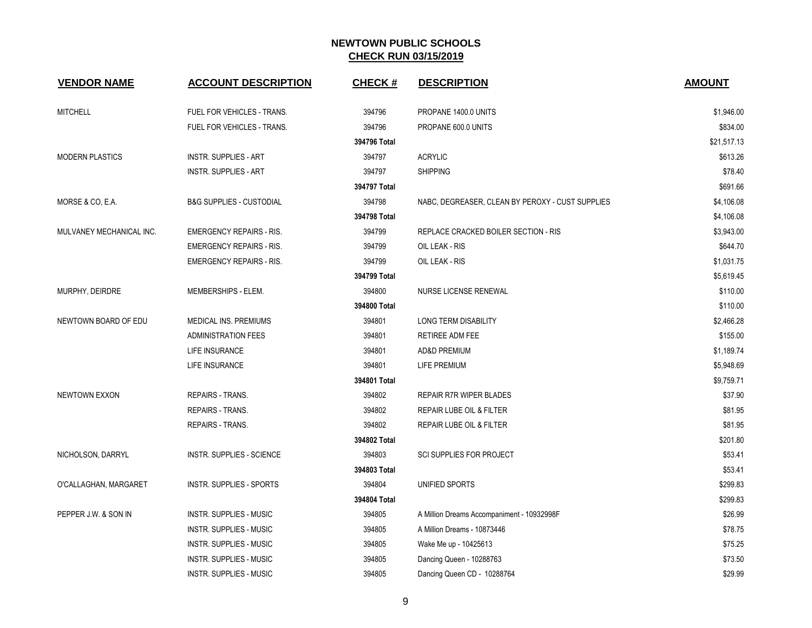| <b>VENDOR NAME</b>       | <b>ACCOUNT DESCRIPTION</b>          | <b>CHECK#</b> | <b>DESCRIPTION</b>                               | <b>AMOUNT</b> |
|--------------------------|-------------------------------------|---------------|--------------------------------------------------|---------------|
| <b>MITCHELL</b>          | FUEL FOR VEHICLES - TRANS.          | 394796        | PROPANE 1400.0 UNITS                             | \$1,946.00    |
|                          | FUEL FOR VEHICLES - TRANS.          | 394796        | PROPANE 600.0 UNITS                              | \$834.00      |
|                          |                                     | 394796 Total  |                                                  | \$21,517.13   |
| <b>MODERN PLASTICS</b>   | <b>INSTR. SUPPLIES - ART</b>        | 394797        | <b>ACRYLIC</b>                                   | \$613.26      |
|                          | <b>INSTR. SUPPLIES - ART</b>        | 394797        | <b>SHIPPING</b>                                  | \$78.40       |
|                          |                                     | 394797 Total  |                                                  | \$691.66      |
| MORSE & CO, E.A.         | <b>B&amp;G SUPPLIES - CUSTODIAL</b> | 394798        | NABC, DEGREASER, CLEAN BY PEROXY - CUST SUPPLIES | \$4,106.08    |
|                          |                                     | 394798 Total  |                                                  | \$4,106.08    |
| MULVANEY MECHANICAL INC. | <b>EMERGENCY REPAIRS - RIS.</b>     | 394799        | REPLACE CRACKED BOILER SECTION - RIS             | \$3,943.00    |
|                          | <b>EMERGENCY REPAIRS - RIS.</b>     | 394799        | OIL LEAK - RIS                                   | \$644.70      |
|                          | <b>EMERGENCY REPAIRS - RIS.</b>     | 394799        | OIL LEAK - RIS                                   | \$1,031.75    |
|                          |                                     | 394799 Total  |                                                  | \$5,619.45    |
| MURPHY, DEIRDRE          | MEMBERSHIPS - ELEM.                 | 394800        | NURSE LICENSE RENEWAL                            | \$110.00      |
|                          |                                     | 394800 Total  |                                                  | \$110.00      |
| NEWTOWN BOARD OF EDU     | MEDICAL INS. PREMIUMS               | 394801        | <b>LONG TERM DISABILITY</b>                      | \$2,466.28    |
|                          | <b>ADMINISTRATION FEES</b>          | 394801        | RETIREE ADM FEE                                  | \$155.00      |
|                          | LIFE INSURANCE                      | 394801        | <b>AD&amp;D PREMIUM</b>                          | \$1,189.74    |
|                          | LIFE INSURANCE                      | 394801        | LIFE PREMIUM                                     | \$5,948.69    |
|                          |                                     | 394801 Total  |                                                  | \$9,759.71    |
| <b>NEWTOWN EXXON</b>     | <b>REPAIRS - TRANS.</b>             | 394802        | REPAIR R7R WIPER BLADES                          | \$37.90       |
|                          | <b>REPAIRS - TRANS.</b>             | 394802        | REPAIR LUBE OIL & FILTER                         | \$81.95       |
|                          | REPAIRS - TRANS.                    | 394802        | REPAIR LUBE OIL & FILTER                         | \$81.95       |
|                          |                                     | 394802 Total  |                                                  | \$201.80      |
| NICHOLSON, DARRYL        | <b>INSTR. SUPPLIES - SCIENCE</b>    | 394803        | <b>SCI SUPPLIES FOR PROJECT</b>                  | \$53.41       |
|                          |                                     | 394803 Total  |                                                  | \$53.41       |
| O'CALLAGHAN, MARGARET    | INSTR. SUPPLIES - SPORTS            | 394804        | UNIFIED SPORTS                                   | \$299.83      |
|                          |                                     | 394804 Total  |                                                  | \$299.83      |
| PEPPER J.W. & SON IN     | <b>INSTR. SUPPLIES - MUSIC</b>      | 394805        | A Million Dreams Accompaniment - 10932998F       | \$26.99       |
|                          | INSTR. SUPPLIES - MUSIC             | 394805        | A Million Dreams - 10873446                      | \$78.75       |
|                          | <b>INSTR. SUPPLIES - MUSIC</b>      | 394805        | Wake Me up - 10425613                            | \$75.25       |
|                          | <b>INSTR. SUPPLIES - MUSIC</b>      | 394805        | Dancing Queen - 10288763                         | \$73.50       |
|                          | <b>INSTR. SUPPLIES - MUSIC</b>      | 394805        | Dancing Queen CD - 10288764                      | \$29.99       |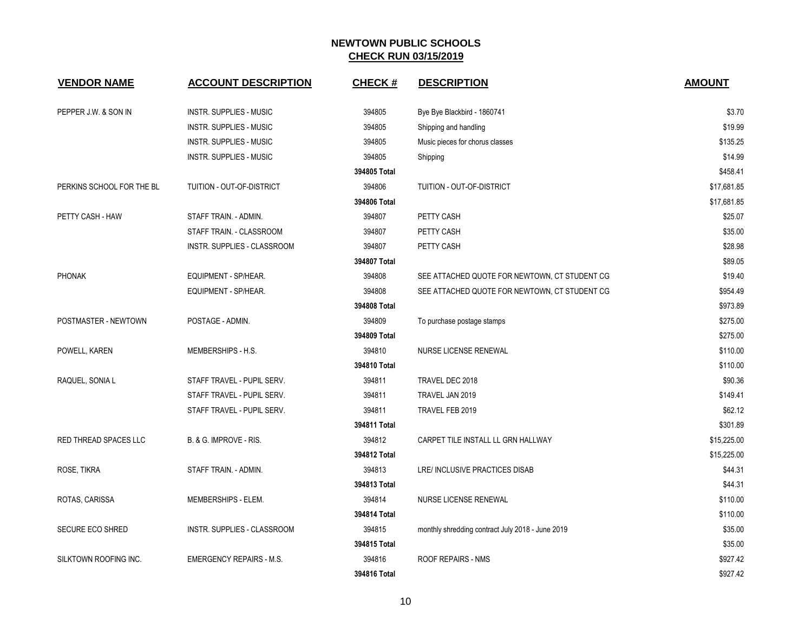| <b>VENDOR NAME</b>        | <b>ACCOUNT DESCRIPTION</b>         | <b>CHECK#</b> | <b>DESCRIPTION</b>                               | <b>AMOUNT</b> |
|---------------------------|------------------------------------|---------------|--------------------------------------------------|---------------|
| PEPPER J.W. & SON IN      | <b>INSTR. SUPPLIES - MUSIC</b>     | 394805        | Bye Bye Blackbird - 1860741                      | \$3.70        |
|                           | INSTR. SUPPLIES - MUSIC            | 394805        | Shipping and handling                            | \$19.99       |
|                           | INSTR. SUPPLIES - MUSIC            | 394805        | Music pieces for chorus classes                  | \$135.25      |
|                           | INSTR. SUPPLIES - MUSIC            | 394805        | Shipping                                         | \$14.99       |
|                           |                                    | 394805 Total  |                                                  | \$458.41      |
| PERKINS SCHOOL FOR THE BL | TUITION - OUT-OF-DISTRICT          | 394806        | TUITION - OUT-OF-DISTRICT                        | \$17,681.85   |
|                           |                                    | 394806 Total  |                                                  | \$17,681.85   |
| PETTY CASH - HAW          | STAFF TRAIN. - ADMIN.              | 394807        | PETTY CASH                                       | \$25.07       |
|                           | STAFF TRAIN. - CLASSROOM           | 394807        | PETTY CASH                                       | \$35.00       |
|                           | INSTR. SUPPLIES - CLASSROOM        | 394807        | PETTY CASH                                       | \$28.98       |
|                           |                                    | 394807 Total  |                                                  | \$89.05       |
| <b>PHONAK</b>             | EQUIPMENT - SP/HEAR.               | 394808        | SEE ATTACHED QUOTE FOR NEWTOWN, CT STUDENT CG    | \$19.40       |
|                           | EQUIPMENT - SP/HEAR.               | 394808        | SEE ATTACHED QUOTE FOR NEWTOWN, CT STUDENT CG    | \$954.49      |
|                           |                                    | 394808 Total  |                                                  | \$973.89      |
| POSTMASTER - NEWTOWN      | POSTAGE - ADMIN.                   | 394809        | To purchase postage stamps                       | \$275.00      |
|                           |                                    | 394809 Total  |                                                  | \$275.00      |
| POWELL, KAREN             | MEMBERSHIPS - H.S.                 | 394810        | NURSE LICENSE RENEWAL                            | \$110.00      |
|                           |                                    | 394810 Total  |                                                  | \$110.00      |
| RAQUEL, SONIA L           | STAFF TRAVEL - PUPIL SERV.         | 394811        | TRAVEL DEC 2018                                  | \$90.36       |
|                           | STAFF TRAVEL - PUPIL SERV.         | 394811        | TRAVEL JAN 2019                                  | \$149.41      |
|                           | STAFF TRAVEL - PUPIL SERV.         | 394811        | TRAVEL FEB 2019                                  | \$62.12       |
|                           |                                    | 394811 Total  |                                                  | \$301.89      |
| RED THREAD SPACES LLC     | B. & G. IMPROVE - RIS.             | 394812        | CARPET TILE INSTALL LL GRN HALLWAY               | \$15,225.00   |
|                           |                                    | 394812 Total  |                                                  | \$15,225.00   |
| ROSE, TIKRA               | STAFF TRAIN. - ADMIN.              | 394813        | LRE/ INCLUSIVE PRACTICES DISAB                   | \$44.31       |
|                           |                                    | 394813 Total  |                                                  | \$44.31       |
| ROTAS, CARISSA            | MEMBERSHIPS - ELEM.                | 394814        | NURSE LICENSE RENEWAL                            | \$110.00      |
|                           |                                    | 394814 Total  |                                                  | \$110.00      |
| <b>SECURE ECO SHRED</b>   | <b>INSTR. SUPPLIES - CLASSROOM</b> | 394815        | monthly shredding contract July 2018 - June 2019 | \$35.00       |
|                           |                                    | 394815 Total  |                                                  | \$35.00       |
| SILKTOWN ROOFING INC.     | <b>EMERGENCY REPAIRS - M.S.</b>    | 394816        | ROOF REPAIRS - NMS                               | \$927.42      |
|                           |                                    | 394816 Total  |                                                  | \$927.42      |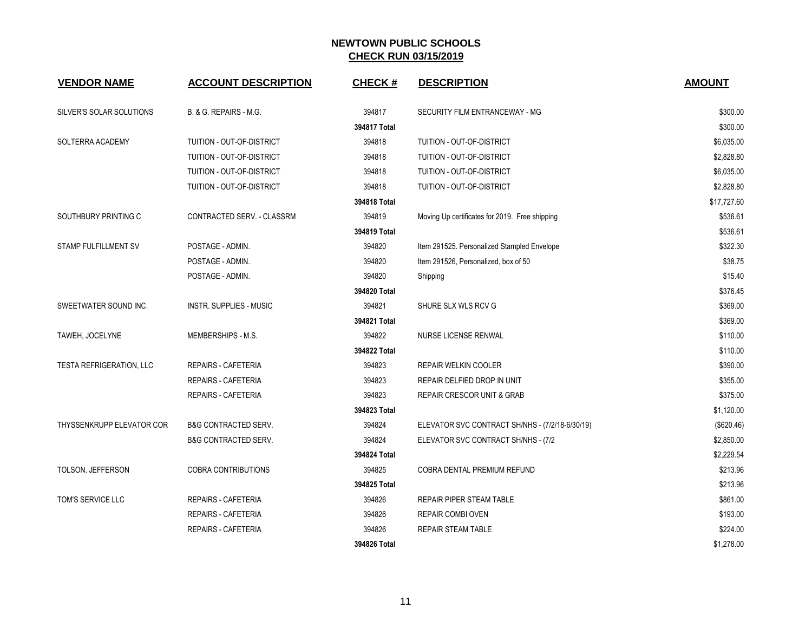| <b>VENDOR NAME</b>              | <b>ACCOUNT DESCRIPTION</b>      | <b>CHECK#</b> | <b>DESCRIPTION</b>                              | <b>AMOUNT</b> |
|---------------------------------|---------------------------------|---------------|-------------------------------------------------|---------------|
| SILVER'S SOLAR SOLUTIONS        | B. & G. REPAIRS - M.G.          | 394817        | SECURITY FILM ENTRANCEWAY - MG                  | \$300.00      |
|                                 |                                 | 394817 Total  |                                                 | \$300.00      |
| SOLTERRA ACADEMY                | TUITION - OUT-OF-DISTRICT       | 394818        | TUITION - OUT-OF-DISTRICT                       | \$6,035.00    |
|                                 | TUITION - OUT-OF-DISTRICT       | 394818        | TUITION - OUT-OF-DISTRICT                       | \$2,828.80    |
|                                 | TUITION - OUT-OF-DISTRICT       | 394818        | TUITION - OUT-OF-DISTRICT                       | \$6,035.00    |
|                                 | TUITION - OUT-OF-DISTRICT       | 394818        | TUITION - OUT-OF-DISTRICT                       | \$2,828.80    |
|                                 |                                 | 394818 Total  |                                                 | \$17,727.60   |
| SOUTHBURY PRINTING C            | CONTRACTED SERV. - CLASSRM      | 394819        | Moving Up certificates for 2019. Free shipping  | \$536.61      |
|                                 |                                 | 394819 Total  |                                                 | \$536.61      |
| STAMP FULFILLMENT SV            | POSTAGE - ADMIN.                | 394820        | Item 291525. Personalized Stampled Envelope     | \$322.30      |
|                                 | POSTAGE - ADMIN.                | 394820        | Item 291526, Personalized, box of 50            | \$38.75       |
|                                 | POSTAGE - ADMIN.                | 394820        | Shipping                                        | \$15.40       |
|                                 |                                 | 394820 Total  |                                                 | \$376.45      |
| SWEETWATER SOUND INC.           | <b>INSTR. SUPPLIES - MUSIC</b>  | 394821        | SHURE SLX WLS RCV G                             | \$369.00      |
|                                 |                                 | 394821 Total  |                                                 | \$369.00      |
| TAWEH, JOCELYNE                 | MEMBERSHIPS - M.S.              | 394822        | NURSE LICENSE RENWAL                            | \$110.00      |
|                                 |                                 | 394822 Total  |                                                 | \$110.00      |
| <b>TESTA REFRIGERATION, LLC</b> | REPAIRS - CAFETERIA             | 394823        | REPAIR WELKIN COOLER                            | \$390.00      |
|                                 | REPAIRS - CAFETERIA             | 394823        | REPAIR DELFIED DROP IN UNIT                     | \$355.00      |
|                                 | <b>REPAIRS - CAFETERIA</b>      | 394823        | <b>REPAIR CRESCOR UNIT &amp; GRAB</b>           | \$375.00      |
|                                 |                                 | 394823 Total  |                                                 | \$1,120.00    |
| THYSSENKRUPP ELEVATOR COR       | <b>B&amp;G CONTRACTED SERV.</b> | 394824        | ELEVATOR SVC CONTRACT SH/NHS - (7/2/18-6/30/19) | (\$620.46)    |
|                                 | <b>B&amp;G CONTRACTED SERV.</b> | 394824        | ELEVATOR SVC CONTRACT SH/NHS - (7/2             | \$2,850.00    |
|                                 |                                 | 394824 Total  |                                                 | \$2,229.54    |
| <b>TOLSON. JEFFERSON</b>        | <b>COBRA CONTRIBUTIONS</b>      | 394825        | COBRA DENTAL PREMIUM REFUND                     | \$213.96      |
|                                 |                                 | 394825 Total  |                                                 | \$213.96      |
| TOM'S SERVICE LLC               | REPAIRS - CAFETERIA             | 394826        | <b>REPAIR PIPER STEAM TABLE</b>                 | \$861.00      |
|                                 | REPAIRS - CAFETERIA             | 394826        | <b>REPAIR COMBI OVEN</b>                        | \$193.00      |
|                                 | <b>REPAIRS - CAFETERIA</b>      | 394826        | <b>REPAIR STEAM TABLE</b>                       | \$224.00      |
|                                 |                                 | 394826 Total  |                                                 | \$1,278.00    |